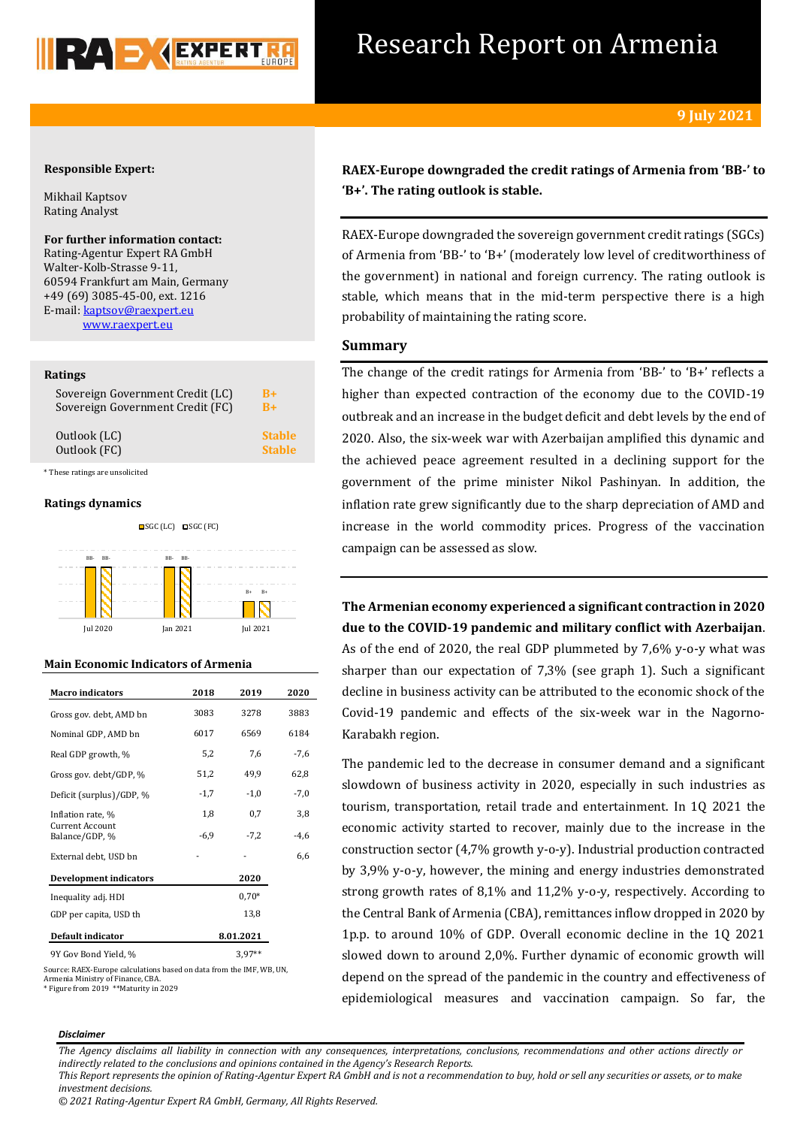

# Research Report on Armenia

## **Responsible Expert:**

Mikhail Kaptsov Rating Analyst

**For further information contact:** Rating-Agentur Expert RA GmbH Walter-Kolb-Strasse 9-11, 60594 Frankfurt am Main, Germany +49 (69) 3085-45-00, ext. 1216 E-mail[: kaptsov@raexpert.eu](mailto:kaptsov@raexpert.eu)

[www.raexpert.eu](http://raexpert.eu/)

## **Ratings**

| Sovereign Government Credit (LC) | $B+$          |
|----------------------------------|---------------|
| Sovereign Government Credit (FC) | $R+$          |
| Outlook (LC)                     | <b>Stable</b> |
| Outlook (FC)                     | <b>Stable</b> |

\* These ratings are unsolicited

## **Ratings dynamics**



## **Main Economic Indicators of Armenia**

| <b>Macro indicators</b>                  | 2018      | 2019     | 2020   |
|------------------------------------------|-----------|----------|--------|
| Gross gov. debt, AMD bn                  | 3083      | 3278     | 3883   |
| Nominal GDP, AMD bn                      | 6017      | 6569     | 6184   |
| Real GDP growth, %                       | 5,2       | 7,6      | -7,6   |
| Gross gov. debt/GDP, %                   | 51,2      | 49,9     | 62,8   |
| Deficit (surplus)/GDP, %                 | $-1,7$    | $-1,0$   | $-7,0$ |
| Inflation rate, %                        | 1,8       | 0,7      | 3,8    |
| <b>Current Account</b><br>Balance/GDP, % | $-6,9$    | $-7,2$   | -4,6   |
| External debt, USD bn                    |           |          | 6,6    |
| <b>Development indicators</b>            |           | 2020     |        |
| Inequality adj. HDI                      |           | $0.70*$  |        |
| GDP per capita, USD th                   |           | 13,8     |        |
| <b>Default indicator</b>                 | 8.01.2021 |          |        |
| 9Y Gov Bond Yield, %                     |           | $3,97**$ |        |

Source: RAEX-Europe calculations based on data from the IMF, WB, UN, Armenia Ministry of Finance, CBA. \* Figure from 2019 \*\*Maturity in 2029

**RAEX-Europe downgraded the credit ratings of Armenia from 'BB-' to 'B+'. The rating outlook is stable.**

RAEX-Europe downgraded the sovereign government credit ratings (SGCs) of Armenia from 'BB-' to 'B+' (moderately low level of creditworthiness of the government) in national and foreign currency. The rating outlook is stable, which means that in the mid-term perspective there is a high probability of maintaining the rating score.

# **Summary**

The change of the credit ratings for Armenia from 'BB-' to 'B+' reflects a higher than expected contraction of the economy due to the COVID-19 outbreak and an increase in the budget deficit and debt levels by the end of 2020. Also, the six-week war with Azerbaijan amplified this dynamic and the achieved peace agreement resulted in a declining support for the government of the prime minister Nikol Pashinyan. In addition, the inflation rate grew significantly due to the sharp depreciation of AMD and increase in the world commodity prices. Progress of the vaccination campaign can be assessed as slow.

**The Armenian economy experienced a significant contraction in 2020 due to the COVID-19 pandemic and military conflict with Azerbaijan**. As of the end of 2020, the real GDP plummeted by 7,6% y-o-y what was sharper than our expectation of 7,3% (see graph 1). Such a significant decline in business activity can be attributed to the economic shock of the Covid-19 pandemic and effects of the six-week war in the Nagorno-Karabakh region.

The pandemic led to the decrease in consumer demand and a significant slowdown of business activity in 2020, especially in such industries as tourism, transportation, retail trade and entertainment. In 1Q 2021 the economic activity started to recover, mainly due to the increase in the construction sector (4,7% growth y-o-y). Industrial production contracted by 3,9% y-o-y, however, the mining and energy industries demonstrated strong growth rates of 8,1% and 11,2% y-o-y, respectively. According to the Central Bank of Armenia (CBA), remittances inflow dropped in 2020 by 1p.p. to around 10% of GDP. Overall economic decline in the 1Q 2021 slowed down to around 2,0%. Further dynamic of economic growth will depend on the spread of the pandemic in the country and effectiveness of epidemiological measures and vaccination campaign. So far, the

## *Disclaimer*

*The Agency disclaims all liability in connection with any consequences, interpretations, conclusions, recommendations and other actions directly or indirectly related to the conclusions and opinions contained in the Agency's Research Reports.*

*This Report represents the opinion of Rating-Agentur Expert RA GmbH and is not a recommendation to buy, hold or sell any securities or assets, or to make investment decisions.*

*<sup>© 2021</sup> Rating-Agentur Expert RA GmbH, Germany, All Rights Reserved.*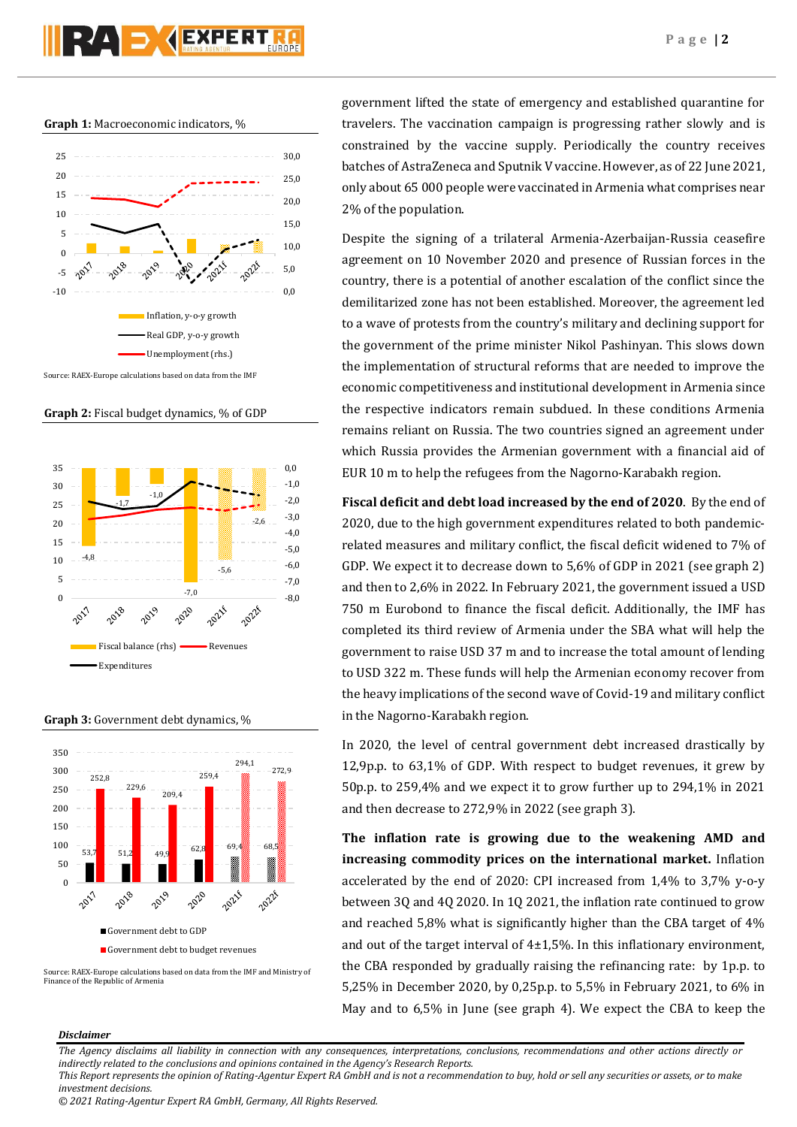

**Graph 1:** Macroeconomic indicators, %



**Graph 2:** Fiscal budget dynamics, % of GDP



**Graph 3:** Government debt dynamics, %



Source: RAEX-Europe calculations based on data from the IMF and Ministry of Finance of the Republic of Armenia

government lifted the state of emergency and established quarantine for travelers. The vaccination campaign is progressing rather slowly and is constrained by the vaccine supply. Periodically the country receives batches of AstraZeneca and Sputnik V vaccine. However, as of 22 June 2021, only about 65 000 people were vaccinated in Armenia what comprises near 2% of the population.

Despite the signing of a trilateral Armenia-Azerbaijan-Russia ceasefire agreement on 10 November 2020 and presence of Russian forces in the country, there is a potential of another escalation of the conflict since the demilitarized zone has not been established. Moreover, the agreement led to a wave of protests from the country's military and declining support for the government of the prime minister Nikol Pashinyan. This slows down the implementation of structural reforms that are needed to improve the economic competitiveness and institutional development in Armenia since the respective indicators remain subdued. In these conditions Armenia remains reliant on Russia. The two countries signed an agreement under which Russia provides the Armenian government with a financial aid of EUR 10 m to help the refugees from the Nagorno-Karabakh region.

**Fiscal deficit and debt load increased by the end of 2020**. By the end of 2020, due to the high government expenditures related to both pandemicrelated measures and military conflict, the fiscal deficit widened to 7% of GDP. We expect it to decrease down to 5,6% of GDP in 2021 (see graph 2) and then to 2,6% in 2022. In February 2021, the government issued a USD 750 m Eurobond to finance the fiscal deficit. Additionally, the IMF has completed its third review of Armenia under the SBA what will help the government to raise USD 37 m and to increase the total amount of lending to USD 322 m. These funds will help the Armenian economy recover from the heavy implications of the second wave of Covid-19 and military conflict in the Nagorno-Karabakh region.

In 2020, the level of central government debt increased drastically by 12,9p.p. to 63,1% of GDP. With respect to budget revenues, it grew by 50p.p. to 259,4% and we expect it to grow further up to 294,1% in 2021 and then decrease to 272,9% in 2022 (see graph 3).

**The inflation rate is growing due to the weakening AMD and increasing commodity prices on the international market.** Inflation accelerated by the end of 2020: CPI increased from 1,4% to 3,7% y-o-y between 3Q and 4Q 2020. In 1Q 2021, the inflation rate continued to grow and reached 5,8% what is significantly higher than the CBA target of 4% and out of the target interval of  $4\pm1.5$ %. In this inflationary environment, the CBA responded by gradually raising the refinancing rate: by 1p.p. to 5,25% in December 2020, by 0,25p.p. to 5,5% in February 2021, to 6% in May and to 6,5% in June (see graph 4). We expect the CBA to keep the

## *Disclaimer*

*The Agency disclaims all liability in connection with any consequences, interpretations, conclusions, recommendations and other actions directly or indirectly related to the conclusions and opinions contained in the Agency's Research Reports.*

*This Report represents the opinion of Rating-Agentur Expert RA GmbH and is not a recommendation to buy, hold or sell any securities or assets, or to make investment decisions.*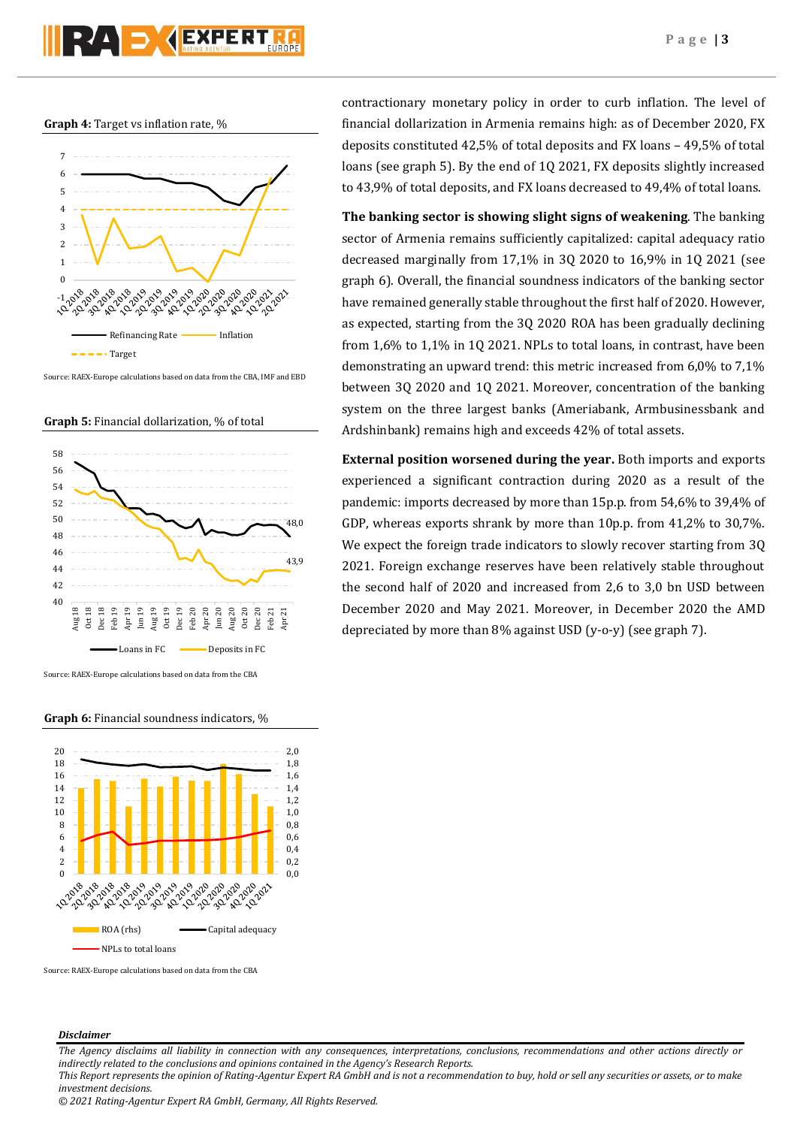**Graph 4:** Target vs inflation rate, %



Source: RAEX-Europe calculations based on data from the CBA, IMF and EBD





Source: RAEX-Europe calculations based on data from the CBA

## **Graph 6:** Financial soundness indicators, %



Source: RAEX-Europe calculations based on data from the CBA

## *Disclaimer*

*The Agency disclaims all liability in connection with any consequences, interpretations, conclusions, recommendations and other actions directly or indirectly related to the conclusions and opinions contained in the Agency's Research Reports. This Report represents the opinion of Rating-Agentur Expert RA GmbH and is not a recommendation to buy, hold or sell any securities or assets, or to make* 

*investment decisions.*

contractionary monetary policy in order to curb inflation. The level of financial dollarization in Armenia remains high: as of December 2020, FX deposits constituted 42,5% of total deposits and FX loans – 49,5% of total loans (see graph 5). By the end of 1Q 2021, FX deposits slightly increased to 43,9% of total deposits, and FX loans decreased to 49,4% of total loans.

**The banking sector is showing slight signs of weakening**. The banking sector of Armenia remains sufficiently capitalized: capital adequacy ratio decreased marginally from 17,1% in 3Q 2020 to 16,9% in 1Q 2021 (see graph 6). Overall, the financial soundness indicators of the banking sector have remained generally stable throughout the first half of 2020. However, as expected, starting from the 3Q 2020 ROA has been gradually declining from 1,6% to 1,1% in 1Q 2021. NPLs to total loans, in contrast, have been demonstrating an upward trend: this metric increased from 6,0% to 7,1% between 3Q 2020 and 1Q 2021. Moreover, concentration of the banking system on the three largest banks (Ameriabank, Armbusinessbank and Ardshinbank) remains high and exceeds 42% of total assets.

**External position worsened during the year.** Both imports and exports experienced a significant contraction during 2020 as a result of the pandemic: imports decreased by more than 15p.p. from 54,6% to 39,4% of GDP, whereas exports shrank by more than 10p.p. from 41,2% to 30,7%. We expect the foreign trade indicators to slowly recover starting from 3Q 2021. Foreign exchange reserves have been relatively stable throughout the second half of 2020 and increased from 2,6 to 3,0 bn USD between December 2020 and May 2021. Moreover, in December 2020 the AMD depreciated by more than 8% against USD (y-o-y) (see graph 7).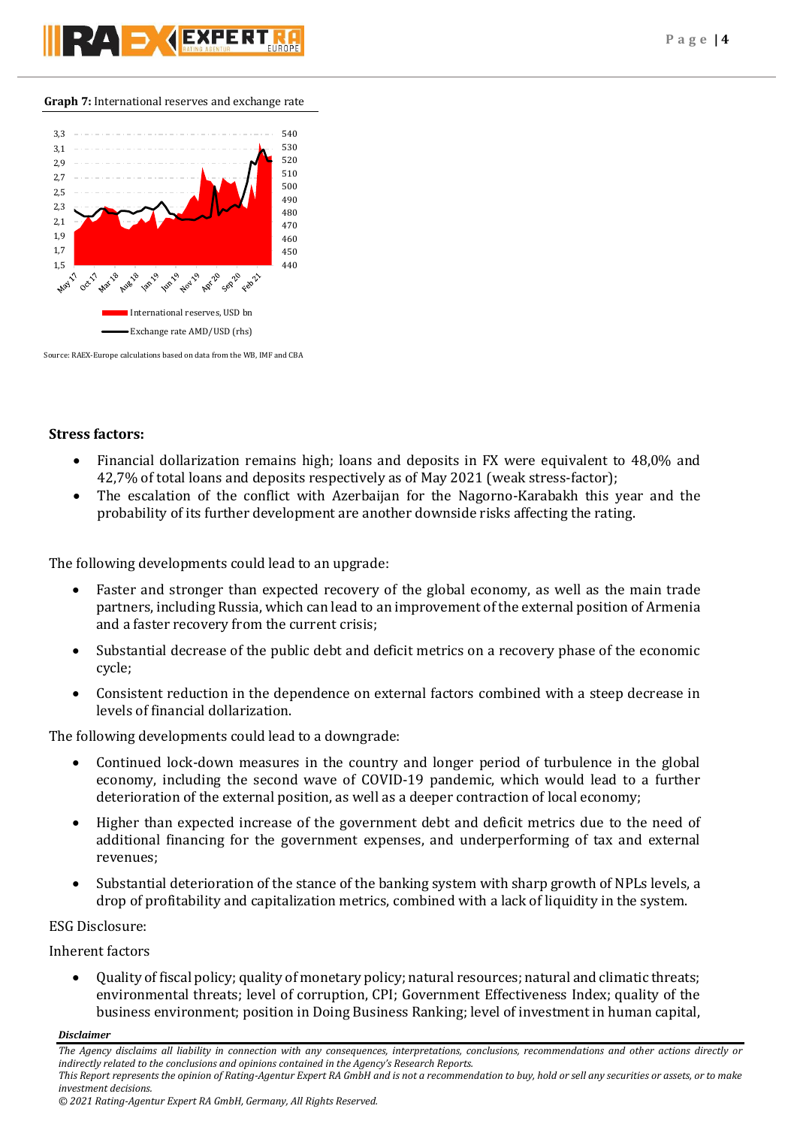**Graph 7:** International reserves and exchange rate



Source: RAEX-Europe calculations based on data from the WB, IMF and CBA

# **Stress factors:**

- Financial dollarization remains high; loans and deposits in FX were equivalent to 48,0% and 42,7% of total loans and deposits respectively as of May 2021 (weak stress-factor);
- The escalation of the conflict with Azerbaijan for the Nagorno-Karabakh this year and the probability of its further development are another downside risks affecting the rating.

The following developments could lead to an upgrade:

- Faster and stronger than expected recovery of the global economy, as well as the main trade partners, including Russia, which can lead to an improvement of the external position of Armenia and a faster recovery from the current crisis;
- Substantial decrease of the public debt and deficit metrics on a recovery phase of the economic cycle;
- Consistent reduction in the dependence on external factors combined with a steep decrease in levels of financial dollarization.

The following developments could lead to a downgrade:

- Continued lock-down measures in the country and longer period of turbulence in the global economy, including the second wave of COVID-19 pandemic, which would lead to a further deterioration of the external position, as well as a deeper contraction of local economy;
- Higher than expected increase of the government debt and deficit metrics due to the need of additional financing for the government expenses, and underperforming of tax and external revenues;
- Substantial deterioration of the stance of the banking system with sharp growth of NPLs levels, a drop of profitability and capitalization metrics, combined with a lack of liquidity in the system.

# ESG Disclosure:

Inherent factors

 Quality of fiscal policy; quality of monetary policy; natural resources; natural and climatic threats; environmental threats; level of corruption, CPI; Government Effectiveness Index; quality of the business environment; position in Doing Business Ranking; level of investment in human capital,

*Disclaimer* 

*The Agency disclaims all liability in connection with any consequences, interpretations, conclusions, recommendations and other actions directly or indirectly related to the conclusions and opinions contained in the Agency's Research Reports. This Report represents the opinion of Rating-Agentur Expert RA GmbH and is not a recommendation to buy, hold or sell any securities or assets, or to make*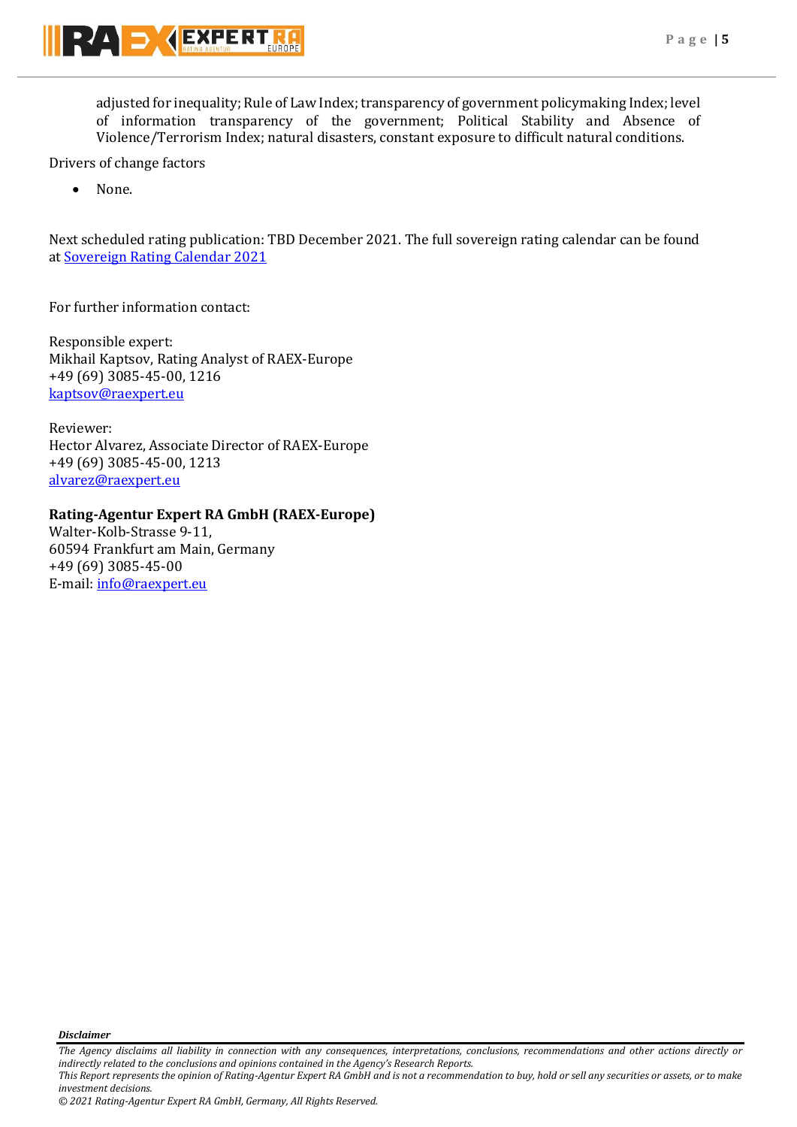

adjusted for inequality; Rule of Law Index; transparency of government policymaking Index; level of information transparency of the government; Political Stability and Absence of Violence/Terrorism Index; natural disasters, constant exposure to difficult natural conditions.

Drivers of change factors

None.

Next scheduled rating publication: TBD December 2021. The full sovereign rating calendar can be found at [Sovereign Rating Calendar 2021](https://raexpert.eu/sovereign/#conf-tab-5)

For further information contact:

Responsible expert: Mikhail Kaptsov, Rating Analyst of RAEX-Europe +49 (69) 3085-45-00, 1216 [kaptsov@raexpert.eu](mailto:kaptsov@raexpert.eu)

Reviewer: Hector Alvarez, Associate Director of RAEX-Europe +49 (69) 3085-45-00, 1213 [alvarez@raexpert.eu](mailto:alvarez@raexpert.eu)

# **Rating-Agentur Expert RA GmbH (RAEX-Europe)**

Walter-Kolb-Strasse 9-11, 60594 Frankfurt am Main, Germany +49 (69) 3085-45-00 E-mail[: info@raexpert.eu](mailto:info@raexpert.eu)

*Disclaimer* 

*The Agency disclaims all liability in connection with any consequences, interpretations, conclusions, recommendations and other actions directly or indirectly related to the conclusions and opinions contained in the Agency's Research Reports. This Report represents the opinion of Rating-Agentur Expert RA GmbH and is not a recommendation to buy, hold or sell any securities or assets, or to make* 

*investment decisions. © 2021 Rating-Agentur Expert RA GmbH, Germany, All Rights Reserved.*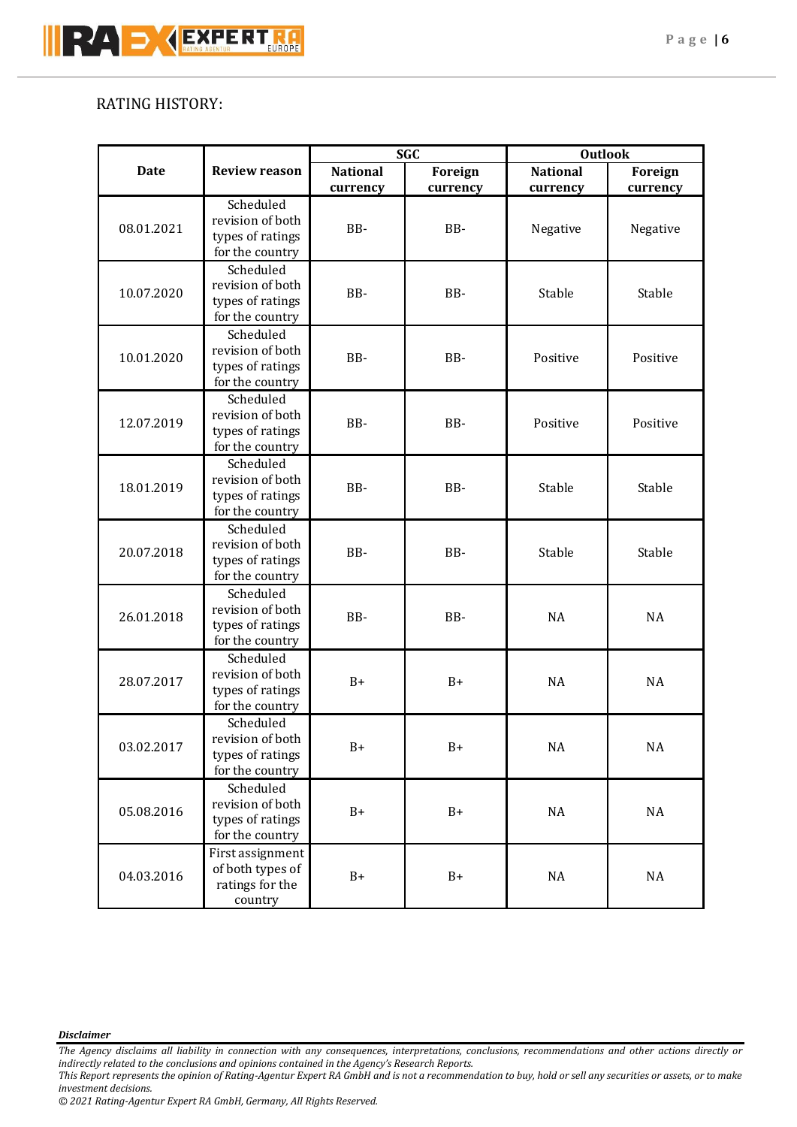# RATING HISTORY:

| <b>Date</b> | <b>Review reason</b>                 | <b>SGC</b>      |          | <b>Outlook</b>  |           |           |
|-------------|--------------------------------------|-----------------|----------|-----------------|-----------|-----------|
|             |                                      | <b>National</b> | Foreign  | <b>National</b> | Foreign   |           |
|             | Scheduled                            | currency        | currency | currency        | currency  |           |
|             | revision of both                     |                 |          | Negative        | Negative  |           |
| 08.01.2021  | types of ratings                     | BB-             | BB-      |                 |           |           |
|             | for the country                      |                 |          |                 |           |           |
|             | Scheduled                            |                 |          |                 |           |           |
|             | revision of both                     |                 |          |                 |           |           |
| 10.07.2020  | types of ratings                     | BB-             | BB-      | Stable          | Stable    |           |
|             | for the country                      |                 |          |                 |           |           |
|             | Scheduled                            |                 |          |                 |           |           |
|             | revision of both                     |                 |          |                 |           |           |
| 10.01.2020  | types of ratings                     | BB-             | BB-      | Positive        | Positive  |           |
|             | for the country                      |                 |          |                 |           |           |
|             | Scheduled                            |                 |          | Positive        | Positive  |           |
|             | revision of both                     |                 | BB-      |                 |           |           |
| 12.07.2019  | types of ratings                     | BB-             |          |                 |           |           |
|             | for the country                      |                 |          |                 |           |           |
|             | Scheduled                            |                 |          |                 |           |           |
|             | revision of both                     |                 |          |                 |           |           |
| 18.01.2019  | BB-<br>types of ratings              |                 | BB-      | Stable          | Stable    |           |
|             | for the country                      |                 |          |                 |           |           |
|             | Scheduled                            |                 |          |                 |           |           |
| 20.07.2018  | revision of both                     | BB-             | BB-      | Stable          | Stable    |           |
|             | types of ratings                     |                 |          |                 |           |           |
|             | for the country                      |                 |          |                 |           |           |
|             | Scheduled                            | BB-             |          |                 |           |           |
| 26.01.2018  | revision of both                     |                 |          | BB-             | <b>NA</b> | <b>NA</b> |
|             | types of ratings                     |                 |          |                 |           |           |
|             | for the country                      |                 |          |                 |           |           |
|             | Scheduled                            | $B+$            |          |                 |           |           |
| 28.07.2017  | revision of both                     |                 |          | $B+$            | <b>NA</b> | <b>NA</b> |
|             | types of ratings                     |                 |          |                 |           |           |
|             | for the country                      |                 |          |                 |           |           |
|             | Scheduled                            | $B+$            |          |                 |           |           |
| 03.02.2017  | revision of both                     |                 | $B+$     | $\rm NA$        | $\rm NA$  |           |
|             | types of ratings                     |                 |          |                 |           |           |
|             | for the country                      |                 |          |                 |           |           |
| 05.08.2016  | Scheduled                            |                 |          |                 |           |           |
|             | revision of both                     | $B+$            | $B+$     | $\rm NA$        | $\rm NA$  |           |
|             | types of ratings                     |                 |          |                 |           |           |
| 04.03.2016  | for the country                      |                 |          |                 |           |           |
|             | First assignment<br>of both types of |                 | $B+$     |                 |           |           |
|             |                                      | ratings for the |          | $B+$            | $\rm NA$  | $\rm NA$  |
|             | country                              |                 |          |                 |           |           |
|             |                                      |                 |          |                 |           |           |

# *Disclaimer*

*The Agency disclaims all liability in connection with any consequences, interpretations, conclusions, recommendations and other actions directly or indirectly related to the conclusions and opinions contained in the Agency's Research Reports.*

*This Report represents the opinion of Rating-Agentur Expert RA GmbH and is not a recommendation to buy, hold or sell any securities or assets, or to make investment decisions.*